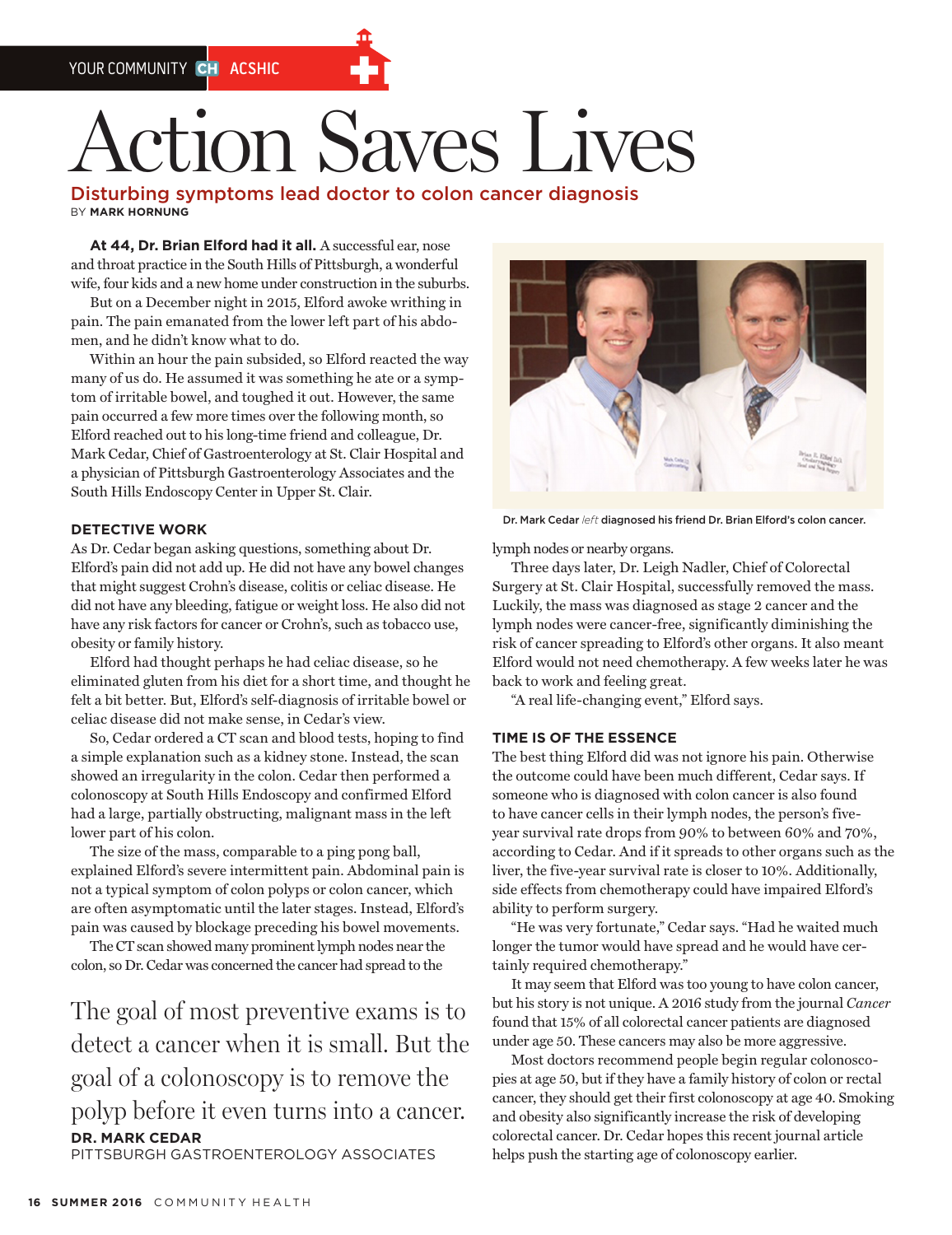# **tion Saves Lives**

Disturbing symptoms lead doctor to colon cancer diagnosis BY **MARK HORNUNG**

At 44, Dr. Brian Elford had it all. A successful ear, nose and throat practice in the South Hills of Pittsburgh, a wonderful wife, four kids and a new home under construction in the suburbs.

But on a December night in 2015, Elford awoke writhing in pain. The pain emanated from the lower left part of his abdomen, and he didn't know what to do.

Within an hour the pain subsided, so Elford reacted the way many of us do. He assumed it was something he ate or a symptom of irritable bowel, and toughed it out. However, the same pain occurred a few more times over the following month, so Elford reached out to his long-time friend and colleague, Dr. Mark Cedar, Chief of Gastroenterology at St. Clair Hospital and a physician of Pittsburgh Gastroenterology Associates and the South Hills Endoscopy Center in Upper St. Clair.

## **DETECTIVE WORK**

As Dr. Cedar began asking questions, something about Dr. Elford's pain did not add up. He did not have any bowel changes that might suggest Crohn's disease, colitis or celiac disease. He did not have any bleeding, fatigue or weight loss. He also did not have any risk factors for cancer or Crohn's, such as tobacco use, obesity or family history.

Elford had thought perhaps he had celiac disease, so he eliminated gluten from his diet for a short time, and thought he felt a bit better. But, Elford's self-diagnosis of irritable bowel or celiac disease did not make sense, in Cedar's view.

So, Cedar ordered a CT scan and blood tests, hoping to find a simple explanation such as a kidney stone. Instead, the scan showed an irregularity in the colon. Cedar then performed a colonoscopy at South Hills Endoscopy and confirmed Elford had a large, partially obstructing, malignant mass in the left lower part of his colon.

The size of the mass, comparable to a ping pong ball, explained Elford's severe intermittent pain. Abdominal pain is not a typical symptom of colon polyps or colon cancer, which are often asymptomatic until the later stages. Instead, Elford's pain was caused by blockage preceding his bowel movements.

The CT scan showed many prominent lymph nodes near the colon, so Dr. Cedar was concerned the cancer had spread to the

The goal of most preventive exams is to detect a cancer when it is small. But the goal of a colonoscopy is to remove the polyp before it even turns into a cancer. **DR. MARK CEDAR** PITTSBURGH GASTROENTEROLOGY ASSOCIATES



Dr. Mark Cedar *left* diagnosed his friend Dr. Brian Elford's colon cancer.

lymph nodes or nearby organs.

Three days later, Dr. Leigh Nadler, Chief of Colorectal Surgery at St. Clair Hospital, successfully removed the mass. Luckily, the mass was diagnosed as stage 2 cancer and the lymph nodes were cancer-free, significantly diminishing the risk of cancer spreading to Elford's other organs. It also meant Elford would not need chemotherapy. A few weeks later he was back to work and feeling great.

"A real life-changing event," Elford says.

#### **TIME IS OF THE ESSENCE**

The best thing Elford did was not ignore his pain. Otherwise the outcome could have been much different, Cedar says. If someone who is diagnosed with colon cancer is also found to have cancer cells in their lymph nodes, the person's fiveyear survival rate drops from 90% to between 60% and 70%, according to Cedar. And if it spreads to other organs such as the liver, the five-year survival rate is closer to 10%. Additionally, side effects from chemotherapy could have impaired Elford's ability to perform surgery.

"He was very fortunate," Cedar says. "Had he waited much longer the tumor would have spread and he would have certainly required chemotherapy."

It may seem that Elford was too young to have colon cancer, but his story is not unique. A 2016 study from the journal *Cancer*  found that 15% of all colorectal cancer patients are diagnosed under age 50. These cancers may also be more aggressive.

Most doctors recommend people begin regular colonoscopies at age 50, but if they have a family history of colon or rectal cancer, they should get their first colonoscopy at age 40. Smoking and obesity also significantly increase the risk of developing colorectal cancer. Dr. Cedar hopes this recent journal article helps push the starting age of colonoscopy earlier.